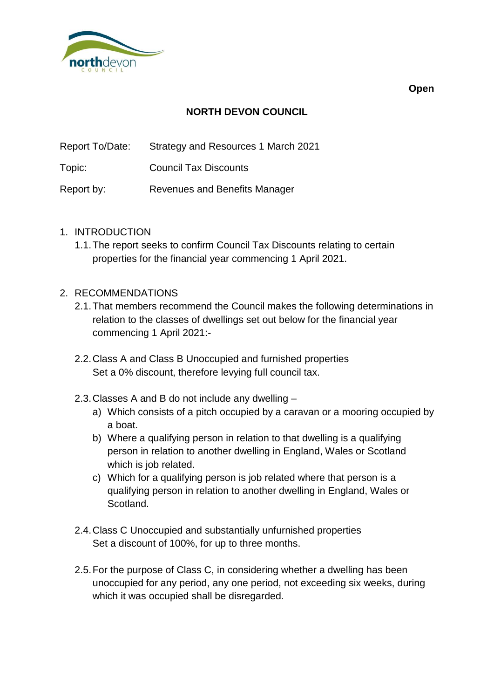

**NORTH DEVON COUNCIL**

Report To/Date: Strategy and Resources 1 March 2021

Topic: Council Tax Discounts

Report by: Revenues and Benefits Manager

- 1. INTRODUCTION
	- 1.1.The report seeks to confirm Council Tax Discounts relating to certain properties for the financial year commencing 1 April 2021.

## 2. RECOMMENDATIONS

- 2.1.That members recommend the Council makes the following determinations in relation to the classes of dwellings set out below for the financial year commencing 1 April 2021:-
- 2.2.Class A and Class B Unoccupied and furnished properties Set a 0% discount, therefore levying full council tax.
- 2.3.Classes A and B do not include any dwelling
	- a) Which consists of a pitch occupied by a caravan or a mooring occupied by a boat.
	- b) Where a qualifying person in relation to that dwelling is a qualifying person in relation to another dwelling in England, Wales or Scotland which is job related.
	- c) Which for a qualifying person is job related where that person is a qualifying person in relation to another dwelling in England, Wales or Scotland.
- 2.4.Class C Unoccupied and substantially unfurnished properties Set a discount of 100%, for up to three months.
- 2.5.For the purpose of Class C, in considering whether a dwelling has been unoccupied for any period, any one period, not exceeding six weeks, during which it was occupied shall be disregarded.

**Open**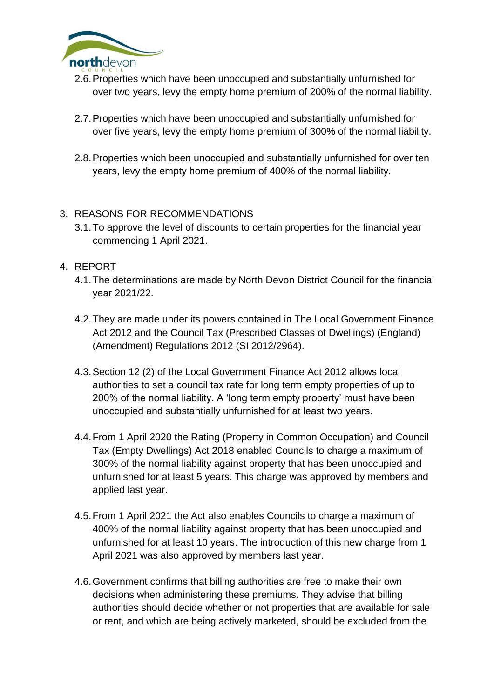

- 2.6.Properties which have been unoccupied and substantially unfurnished for over two years, levy the empty home premium of 200% of the normal liability.
- 2.7.Properties which have been unoccupied and substantially unfurnished for over five years, levy the empty home premium of 300% of the normal liability.
- 2.8.Properties which been unoccupied and substantially unfurnished for over ten years, levy the empty home premium of 400% of the normal liability.

## 3. REASONS FOR RECOMMENDATIONS

- 3.1.To approve the level of discounts to certain properties for the financial year commencing 1 April 2021.
- 4. REPORT
	- 4.1.The determinations are made by North Devon District Council for the financial year 2021/22.
	- 4.2.They are made under its powers contained in The Local Government Finance Act 2012 and the Council Tax (Prescribed Classes of Dwellings) (England) (Amendment) Regulations 2012 (SI 2012/2964).
	- 4.3.Section 12 (2) of the Local Government Finance Act 2012 allows local authorities to set a council tax rate for long term empty properties of up to 200% of the normal liability. A 'long term empty property' must have been unoccupied and substantially unfurnished for at least two years.
	- 4.4.From 1 April 2020 the Rating (Property in Common Occupation) and Council Tax (Empty Dwellings) Act 2018 enabled Councils to charge a maximum of 300% of the normal liability against property that has been unoccupied and unfurnished for at least 5 years. This charge was approved by members and applied last year.
	- 4.5.From 1 April 2021 the Act also enables Councils to charge a maximum of 400% of the normal liability against property that has been unoccupied and unfurnished for at least 10 years. The introduction of this new charge from 1 April 2021 was also approved by members last year.
	- 4.6.Government confirms that billing authorities are free to make their own decisions when administering these premiums. They advise that billing authorities should decide whether or not properties that are available for sale or rent, and which are being actively marketed, should be excluded from the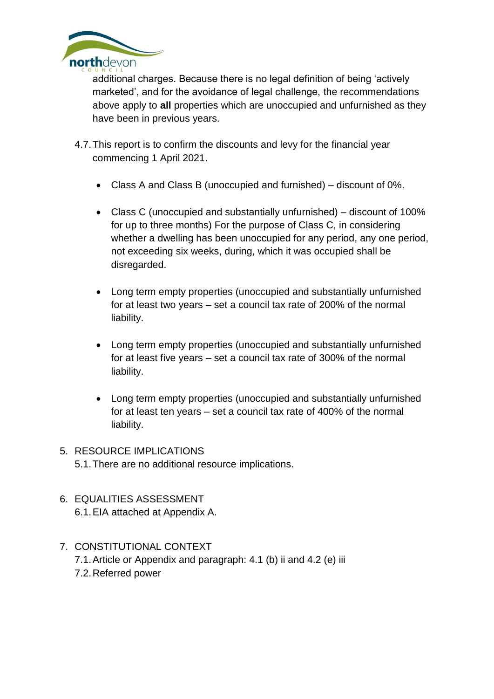

additional charges. Because there is no legal definition of being 'actively marketed', and for the avoidance of legal challenge, the recommendations above apply to **all** properties which are unoccupied and unfurnished as they have been in previous years.

- 4.7.This report is to confirm the discounts and levy for the financial year commencing 1 April 2021.
	- Class A and Class B (unoccupied and furnished) discount of 0%.
	- Class C (unoccupied and substantially unfurnished) discount of 100% for up to three months) For the purpose of Class C, in considering whether a dwelling has been unoccupied for any period, any one period, not exceeding six weeks, during, which it was occupied shall be disregarded.
	- Long term empty properties (unoccupied and substantially unfurnished for at least two years – set a council tax rate of 200% of the normal liability.
	- Long term empty properties (unoccupied and substantially unfurnished for at least five years – set a council tax rate of 300% of the normal liability.
	- Long term empty properties (unoccupied and substantially unfurnished for at least ten years – set a council tax rate of 400% of the normal liability.
- 5. RESOURCE IMPLICATIONS 5.1.There are no additional resource implications.
- 6. EQUALITIES ASSESSMENT 6.1.EIA attached at Appendix A.
- 7. CONSTITUTIONAL CONTEXT
	- 7.1.Article or Appendix and paragraph: 4.1 (b) ii and 4.2 (e) iii
	- 7.2.Referred power